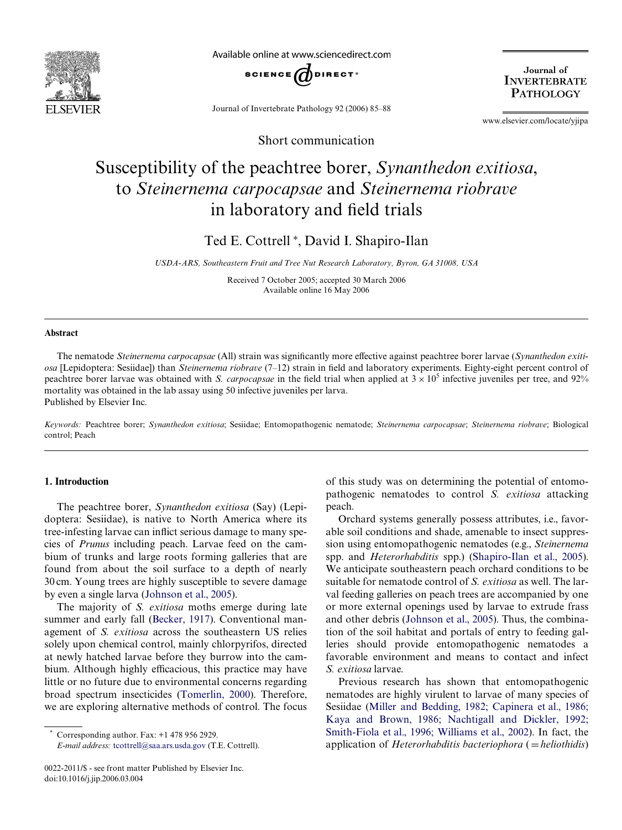

Available online at www.sciencedirect.com



Journal of Invertebrate Pathology 92 (2006) 85–88

Journal of **INVERTEBRATE PATHOLOGY** 

www.elsevier.com/locate/yjipa

Short communication

# Susceptibility of the peachtree borer, *Synanthedon exitiosa*, to *Steinernema carpocapsae* and *Steinernema riobrave* in laboratory and field trials

Ted E. Cottrell<sup>\*</sup>, David I. Shapiro-Ilan

*USDA-ARS, Southeastern Fruit and Tree Nut Research Laboratory, Byron, GA 31008, USA*

Received 7 October 2005; accepted 30 March 2006 Available online 16 May 2006

#### **Abstract**

The nematode *Steinernema carpocapsae* (All) strain was significantly more effective against peachtree borer larvae (*Synanthedon exitiosa* [Lepidoptera: Sesiidae]) than *Steinernema riobrave* (7–12) strain in field and laboratory experiments. Eighty-eight percent control of peachtree borer larvae was obtained with *S. carpocapsae* in the field trial when applied at  $3 \times 10^5$  infective juveniles per tree, and 92% mortality was obtained in the lab assay using 50 infective juveniles per larva. Published by Elsevier Inc.

*Keywords:* Peachtree borer; *Synanthedon exitiosa*; Sesiidae; Entomopathogenic nematode; *Steinernema carpocapsae*; *Steinernema riobrave*; Biological control; Peach

## **1. Introduction**

The peachtree borer, *Synanthedon exitiosa* (Say) (Lepidoptera: Sesiidae), is native to North America where its tree-infesting larvae can inflict serious damage to many species of *Prunus* including peach. Larvae feed on the cambium of trunks and large roots forming galleries that are found from about the soil surface to a depth of nearly 30 cm. Young trees are highly susceptible to severe damage by even a single larva ([Johnson et al., 2005\)](#page-2-0).

The majority of *S. exitiosa* moths emerge during late summer and early fall ([Becker, 1917\)](#page-2-1). Conventional management of *S. exitiosa* across the southeastern US relies solely upon chemical control, mainly chlorpyrifos, directed at newly hatched larvae before they burrow into the cambium. Although highly efficacious, this practice may have little or no future due to environmental concerns regarding broad spectrum insecticides ([Tomerlin, 2000\)](#page-3-0). Therefore, we are exploring alternative methods of control. The focus

*E-mail address:* [tcottrell@saa.ars.usda.gov](mailto: tcottrell@saa.ars.usda.gov) (T.E. Cottrell).

of this study was on determining the potential of entomopathogenic nematodes to control *S. exitiosa* attacking peach.

Orchard systems generally possess attributes, i.e., favorable soil conditions and shade, amenable to insect suppression using entomopathogenic nematodes (e.g., *Steinernema* spp. and *Heterorhabditis* spp.) ([Shapiro-Ilan et al., 2005\)](#page-3-1). We anticipate southeastern peach orchard conditions to be suitable for nematode control of *S. exitiosa* as well. The larval feeding galleries on peach trees are accompanied by one or more external openings used by larvae to extrude frass and other debris [\(Johnson et al., 2005](#page-2-0)). Thus, the combination of the soil habitat and portals of entry to feeding galleries should provide entomopathogenic nematodes a favorable environment and means to contact and infect *S. exitiosa* larvae.

Previous research has shown that entomopathogenic nematodes are highly virulent to larvae of many species of Sesiidae [\(Miller and Bedding, 1982; Capinera et al., 1986;](#page-3-2) [Kaya and Brown, 1986; Nachtigall and Dickler, 1992;](#page-3-2) [Smith-Fiola et al., 1996; Williams et al., 2002](#page-3-2)). In fact, the application of *Heterorhabditis bacteriophora* (*= heliothidis*)

Corresponding author. Fax: +1 478 956 2929.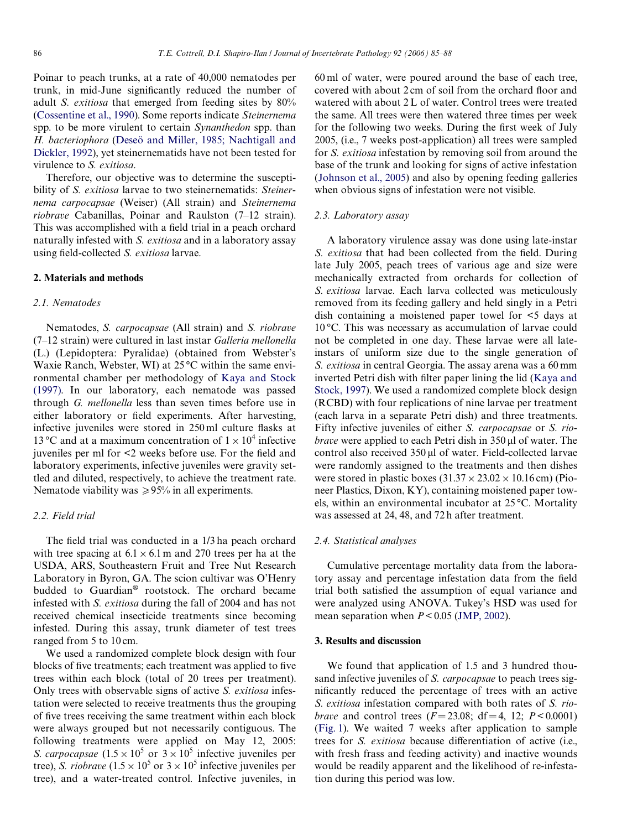Poinar to peach trunks, at a rate of 40,000 nematodes per trunk, in mid-June significantly reduced the number of adult *S. exitiosa* that emerged from feeding sites by 80% [\(Cossentine et al., 1990\)](#page-2-2). Some reports indicate *Steinernema* spp. to be more virulent to certain *Synanthedon* spp. than *H. bacteriophora* ([Deseö and Miller, 1985; Nachtigall and](#page-2-3) [Dickler, 1992\)](#page-2-3), yet steinernematids have not been tested for virulence to *S. exitiosa*.

Therefore, our objective was to determine the susceptibility of *S. exitiosa* larvae to two steinernematids: *Steinernema carpocapsae* (Weiser) (All strain) and *Steinernema riobrave* Cabanillas, Poinar and Raulston (7–12 strain). This was accomplished with a field trial in a peach orchard naturally infested with *S. exitiosa* and in a laboratory assay using field-collected *S. exitiosa* larvae.

## **2. Materials and methods**

### *2.1. Nematodes*

Nematodes, *S. carpocapsae* (All strain) and *S. riobrave* (7–12 strain) were cultured in last instar *Galleria mellonella* (L.) (Lepidoptera: Pyralidae) (obtained from Webster's Waxie Ranch, Webster, WI) at 25 °C within the same environmental chamber per methodology of [Kaya and Stock](#page-2-4) [\(1997\).](#page-2-4) In our laboratory, each nematode was passed through *G. mellonella* less than seven times before use in either laboratory or field experiments. After harvesting, infective juveniles were stored in 250 ml culture flasks at 13 °C and at a maximum concentration of  $1 \times 10^4$  infective juveniles per ml for  $\leq$  weeks before use. For the field and laboratory experiments, infective juveniles were gravity settled and diluted, respectively, to achieve the treatment rate. Nematode viability was  $\geq 95\%$  in all experiments.

## *2.2. Field trial*

The field trial was conducted in a 1/3 ha peach orchard with tree spacing at  $6.1 \times 6.1$  m and 270 trees per ha at the USDA, ARS, Southeastern Fruit and Tree Nut Research Laboratory in Byron, GA. The scion cultivar was O'Henry budded to Guardian® rootstock. The orchard became infested with *S. exitiosa* during the fall of 2004 and has not received chemical insecticide treatments since becoming infested. During this assay, trunk diameter of test trees ranged from 5 to 10 cm.

We used a randomized complete block design with four blocks of five treatments; each treatment was applied to five trees within each block (total of 20 trees per treatment). Only trees with observable signs of active *S. exitiosa* infestation were selected to receive treatments thus the grouping of five trees receiving the same treatment within each block were always grouped but not necessarily contiguous. The following treatments were applied on May 12, 2005: *S. carpocapsae*  $(1.5 \times 10^5 \text{ or } 3 \times 10^5 \text{ infective juveniles per})$ tree), *S. riobrave*  $(1.5 \times 10^5 \text{ or } 3 \times 10^5 \text{ infective juveniles per})$ tree), and a water-treated control. Infective juveniles, in 60 ml of water, were poured around the base of each tree, covered with about 2 cm of soil from the orchard floor and watered with about 2 L of water. Control trees were treated the same. All trees were then watered three times per week for the following two weeks. During the first week of July 2005, (i.e., 7 weeks post-application) all trees were sampled for *S. exitiosa* infestation by removing soil from around the base of the trunk and looking for signs of active infestation ([Johnson et al., 2005\)](#page-2-0) and also by opening feeding galleries when obvious signs of infestation were not visible.

#### *2.3. Laboratory assay*

A laboratory virulence assay was done using late-instar *S. exitiosa* that had been collected from the field. During late July 2005, peach trees of various age and size were mechanically extracted from orchards for collection of *S. exitiosa* larvae. Each larva collected was meticulously removed from its feeding gallery and held singly in a Petri dish containing a moistened paper towel for <5 days at 10 °C. This was necessary as accumulation of larvae could not be completed in one day. These larvae were all lateinstars of uniform size due to the single generation of *S. exitiosa* in central Georgia. The assay arena was a 60 mm inverted Petri dish with filter paper lining the lid ([Kaya and](#page-2-4) [Stock, 1997](#page-2-4)). We used a randomized complete block design (RCBD) with four replications of nine larvae per treatment (each larva in a separate Petri dish) and three treatments. Fifty infective juveniles of either *S. carpocapsae* or *S. riobrave* were applied to each Petri dish in 350 µl of water. The control also received 350 µl of water. Field-collected larvae were randomly assigned to the treatments and then dishes were stored in plastic boxes  $(31.37 \times 23.02 \times 10.16 \text{ cm})$  (Pioneer Plastics, Dixon, KY), containing moistened paper towels, within an environmental incubator at 25 °C. Mortality was assessed at 24, 48, and 72 h after treatment.

## *2.4. Statistical analyses*

Cumulative percentage mortality data from the laboratory assay and percentage infestation data from the field trial both satisfied the assumption of equal variance and were analyzed using ANOVA. Tukey's HSD was used for mean separation when  $P < 0.05$  [\(JMP, 2002](#page-2-5)).

## **3. Results and discussion**

We found that application of 1.5 and 3 hundred thousand infective juveniles of *S. carpocapsae* to peach trees significantly reduced the percentage of trees with an active *S. exitiosa* infestation compared with both rates of *S. riobrave* and control trees  $(F = 23.08; df = 4, 12; P < 0.0001)$ ([Fig. 1\)](#page-2-6). We waited 7 weeks after application to sample trees for *S. exitiosa* because differentiation of active (i.e., with fresh frass and feeding activity) and inactive wounds would be readily apparent and the likelihood of re-infestation during this period was low.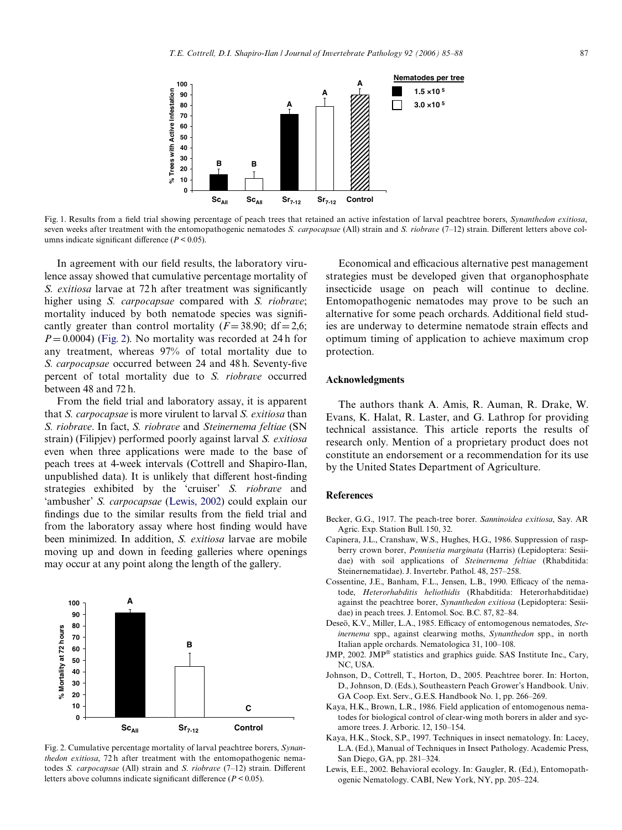

<span id="page-2-6"></span>Fig. 1. Results from a field trial showing percentage of peach trees that retained an active infestation of larval peachtree borers, *Synanthedon exitiosa*, seven weeks after treatment with the entomopathogenic nematodes *S. carpocapsae* (All) strain and *S. riobrave* (7–12) strain. Different letters above columns indicate significant difference  $(P < 0.05)$ .

In agreement with our field results, the laboratory virulence assay showed that cumulative percentage mortality of *S. exitiosa* larvae at 72h after treatment was significantly higher using *S. carpocapsae* compared with *S. riobrave*; mortality induced by both nematode species was significantly greater than control mortality ( $F=38.90$ ; df $=2.6$ ;  $P = 0.0004$ ) ([Fig. 2\)](#page-2-7). No mortality was recorded at 24 h for any treatment, whereas 97% of total mortality due to *S. carpocapsae* occurred between 24 and 48 h. Seventy-five percent of total mortality due to *S. riobrave* occurred between 48 and 72 h.

From the field trial and laboratory assay, it is apparent that *S. carpocapsae* is more virulent to larval *S. exitiosa* than *S. riobrave*. In fact, *S. riobrave* and *Steinernema feltiae* (SN strain) (Filipjev) performed poorly against larval *S. exitiosa* even when three applications were made to the base of peach trees at 4-week intervals (Cottrell and Shapiro-Ilan, unpublished data). It is unlikely that different host-finding strategies exhibited by the 'cruiser' *S. riobrave* and 'ambusher' *S. carpocapsae* ([Lewis, 2002\)](#page-2-8) could explain our findings due to the similar results from the field trial and from the laboratory assay where host finding would have been minimized. In addition, *S. exitiosa* larvae are mobile moving up and down in feeding galleries where openings may occur at any point along the length of the gallery.



<span id="page-2-7"></span>Fig. 2. Cumulative percentage mortality of larval peachtree borers, *Synanthedon exitiosa*, 72 h after treatment with the entomopathogenic nematodes *S. carpocapsae* (All) strain and *S. riobrave* (7–12) strain. Different letters above columns indicate significant difference  $(P < 0.05)$ .

Economical and efficacious alternative pest management strategies must be developed given that organophosphate insecticide usage on peach will continue to decline. Entomopathogenic nematodes may prove to be such an alternative for some peach orchards. Additional field studies are underway to determine nematode strain effects and optimum timing of application to achieve maximum crop protection.

## **Acknowledgments**

The authors thank A. Amis, R. Auman, R. Drake, W. Evans, K. Halat, R. Laster, and G. Lathrop for providing technical assistance. This article reports the results of research only. Mention of a proprietary product does not constitute an endorsement or a recommendation for its use by the United States Department of Agriculture.

#### **References**

- <span id="page-2-1"></span>Becker, G.G., 1917. The peach-tree borer. *Sanninoidea exitiosa*, Say. AR Agric. Exp. Station Bull. 150, 32.
- Capinera, J.L., Cranshaw, W.S., Hughes, H.G., 1986. Suppression of raspberry crown borer, *Pennisetia marginata* (Harris) (Lepidoptera: Sesiidae) with soil applications of *Steinernema feltiae* (Rhabditida: Steinernematidae). J. Invertebr. Pathol. 48, 257–258.
- <span id="page-2-2"></span>Cossentine, J.E., Banham, F.L., Jensen, L.B., 1990. Efficacy of the nematode, *Heterorhabditis heliothidis* (Rhabditida: Heterorhabditidae) against the peachtree borer, *Synanthedon exitiosa* (Lepidoptera: Sesiidae) in peach trees. J. Entomol. Soc. B.C. 87, 82–84.
- <span id="page-2-3"></span>Deseö, K.V., Miller, L.A., 1985. Efficacy of entomogenous nematodes, Ste*inernema* spp., against clearwing moths, *Synanthedon* spp., in north Italian apple orchards. Nematologica 31, 100–108.
- <span id="page-2-5"></span>JMP, 2002. JMP® statistics and graphics guide. SAS Institute Inc., Cary, NC, USA.
- <span id="page-2-0"></span>Johnson, D., Cottrell, T., Horton, D., 2005. Peachtree borer. In: Horton, D., Johnson, D. (Eds.), Southeastern Peach Grower's Handbook. Univ. GA Coop. Ext. Serv., G.E.S. Handbook No. 1, pp. 266–269.
- Kaya, H.K., Brown, L.R., 1986. Field application of entomogenous nematodes for biological control of clear-wing moth borers in alder and sycamore trees. J. Arboric. 12, 150–154.
- <span id="page-2-4"></span>Kaya, H.K., Stock, S.P., 1997. Techniques in insect nematology. In: Lacey, L.A. (Ed.), Manual of Techniques in Insect Pathology. Academic Press, San Diego, GA, pp. 281–324.
- <span id="page-2-8"></span>Lewis, E.E., 2002. Behavioral ecology. In: Gaugler, R. (Ed.), Entomopathogenic Nematology. CABI, New York, NY, pp. 205–224.